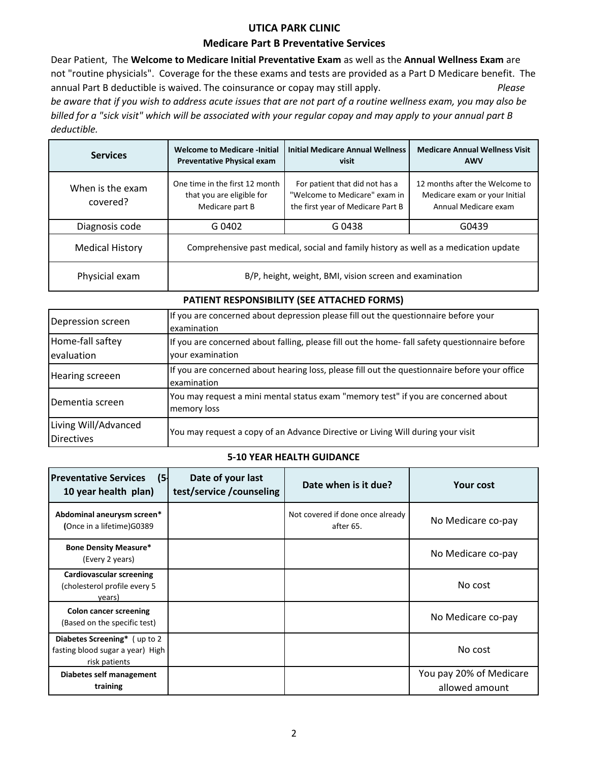## **UTICA PARK CLINIC**

#### **Medicare Part B Preventative Services**

Dear Patient, The **Welcome to Medicare Initial Preventative Exam** as well as the **Annual Wellness Exam** are not "routine physicials". Coverage for the these exams and tests are provided as a Part D Medicare benefit. The annual Part B deductible is waived. The coinsurance or copay may still apply. *Please be aware that if you wish to address acute issues that are not part of a routine wellness exam, you may also be billed for a "sick visit" which will be associated with your regular copay and may apply to your annual part B deductible.*

| <b>Services</b>              | <b>Welcome to Medicare -Initial</b><br><b>Preventative Physical exam</b>             | <b>Initial Medicare Annual Wellness</b><br>visit                                                     | <b>Medicare Annual Wellness Visit</b><br><b>AWV</b>                                     |
|------------------------------|--------------------------------------------------------------------------------------|------------------------------------------------------------------------------------------------------|-----------------------------------------------------------------------------------------|
| When is the exam<br>covered? | One time in the first 12 month<br>that you are eligible for<br>Medicare part B       | For patient that did not has a<br>"Welcome to Medicare" exam in<br>the first year of Medicare Part B | 12 months after the Welcome to<br>Medicare exam or your Initial<br>Annual Medicare exam |
| Diagnosis code               | G 0402                                                                               | G 0438                                                                                               | G0439                                                                                   |
| <b>Medical History</b>       | Comprehensive past medical, social and family history as well as a medication update |                                                                                                      |                                                                                         |
| Physicial exam               | B/P, height, weight, BMI, vision screen and examination                              |                                                                                                      |                                                                                         |

| PATIENT RESPONSIBILITY (SEE ATTACHED FORMS) |  |
|---------------------------------------------|--|
|---------------------------------------------|--|

| Depression screen                         | If you are concerned about depression please fill out the questionnaire before your<br>examination                |  |  |
|-------------------------------------------|-------------------------------------------------------------------------------------------------------------------|--|--|
| Home-fall saftey<br>evaluation            | If you are concerned about falling, please fill out the home-fall safety questionnaire before<br>your examination |  |  |
| Hearing screeen                           | If you are concerned about hearing loss, please fill out the questionnaire before your office<br>examination      |  |  |
| Dementia screen                           | You may request a mini mental status exam "memory test" if you are concerned about<br>memory loss                 |  |  |
| Living Will/Advanced<br><b>Directives</b> | You may request a copy of an Advance Directive or Living Will during your visit                                   |  |  |

### **5-10 YEAR HEALTH GUIDANCE**

| <b>Preventative Services</b><br>(5)<br>10 year health plan)                        | Date of your last<br>test/service/counseling | Date when is it due?                          | <b>Your cost</b>                          |
|------------------------------------------------------------------------------------|----------------------------------------------|-----------------------------------------------|-------------------------------------------|
| Abdominal aneurysm screen*<br>(Once in a lifetime) G0389                           |                                              | Not covered if done once already<br>after 65. | No Medicare co-pay                        |
| <b>Bone Density Measure*</b><br>(Every 2 years)                                    |                                              |                                               | No Medicare co-pay                        |
| <b>Cardiovascular screening</b><br>(cholesterol profile every 5<br>vears)          |                                              |                                               | No cost                                   |
| <b>Colon cancer screening</b><br>(Based on the specific test)                      |                                              |                                               | No Medicare co-pay                        |
| Diabetes Screening* (up to 2)<br>fasting blood sugar a year) High<br>risk patients |                                              |                                               | No cost                                   |
| Diabetes self management<br>training                                               |                                              |                                               | You pay 20% of Medicare<br>allowed amount |